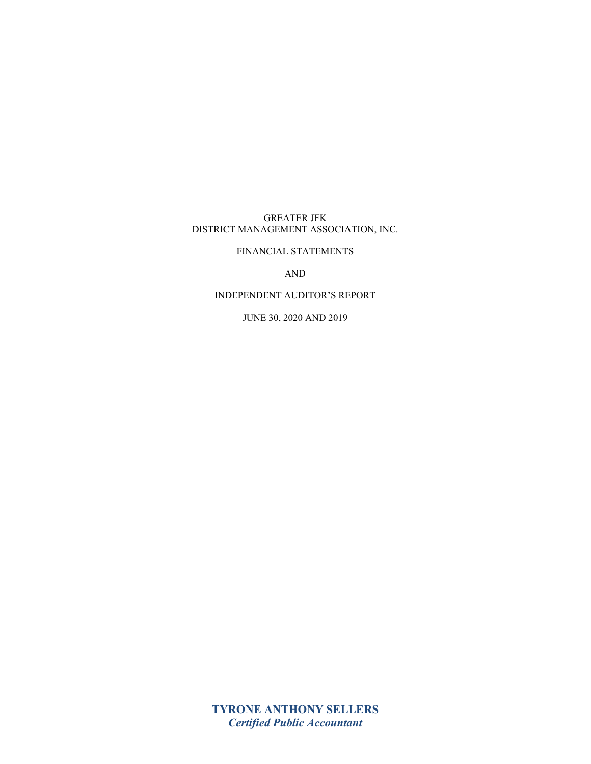## FINANCIAL STATEMENTS

AND

## INDEPENDENT AUDITOR'S REPORT

JUNE 30, 2020 AND 2019

**TYRONE ANTHONY SELLERS**  *Certified Public Accountant*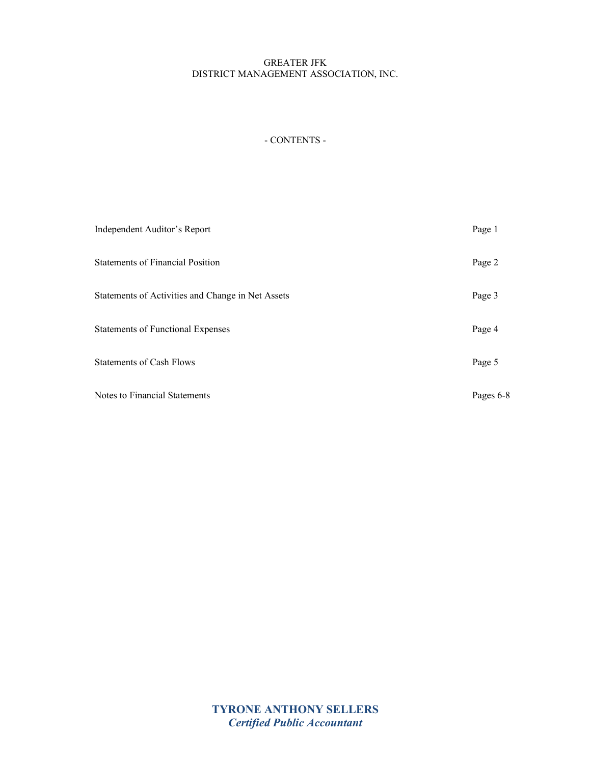# - CONTENTS -

| Independent Auditor's Report                      | Page 1    |
|---------------------------------------------------|-----------|
| <b>Statements of Financial Position</b>           | Page 2    |
| Statements of Activities and Change in Net Assets | Page 3    |
| <b>Statements of Functional Expenses</b>          | Page 4    |
| <b>Statements of Cash Flows</b>                   | Page 5    |
| Notes to Financial Statements                     | Pages 6-8 |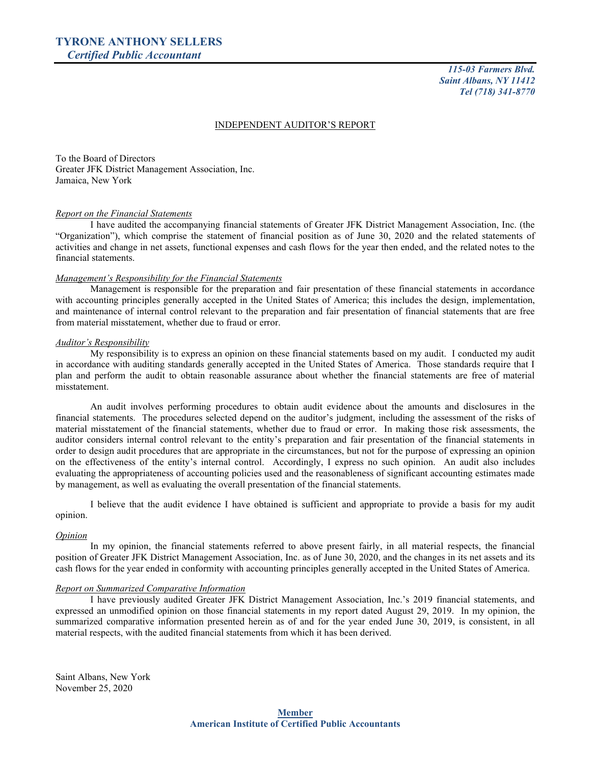*115-03 Farmers Blvd. Saint Albans, NY 11412 Tel (718) 341-8770* 

### INDEPENDENT AUDITOR'S REPORT

To the Board of Directors Greater JFK District Management Association, Inc. Jamaica, New York

#### *Report on the Financial Statements*

I have audited the accompanying financial statements of Greater JFK District Management Association, Inc. (the "Organization"), which comprise the statement of financial position as of June 30, 2020 and the related statements of activities and change in net assets, functional expenses and cash flows for the year then ended, and the related notes to the financial statements.

#### *Management's Responsibility for the Financial Statements*

Management is responsible for the preparation and fair presentation of these financial statements in accordance with accounting principles generally accepted in the United States of America; this includes the design, implementation, and maintenance of internal control relevant to the preparation and fair presentation of financial statements that are free from material misstatement, whether due to fraud or error.

#### *Auditor's Responsibility*

My responsibility is to express an opinion on these financial statements based on my audit. I conducted my audit in accordance with auditing standards generally accepted in the United States of America. Those standards require that I plan and perform the audit to obtain reasonable assurance about whether the financial statements are free of material misstatement.

An audit involves performing procedures to obtain audit evidence about the amounts and disclosures in the financial statements. The procedures selected depend on the auditor's judgment, including the assessment of the risks of material misstatement of the financial statements, whether due to fraud or error. In making those risk assessments, the auditor considers internal control relevant to the entity's preparation and fair presentation of the financial statements in order to design audit procedures that are appropriate in the circumstances, but not for the purpose of expressing an opinion on the effectiveness of the entity's internal control. Accordingly, I express no such opinion. An audit also includes evaluating the appropriateness of accounting policies used and the reasonableness of significant accounting estimates made by management, as well as evaluating the overall presentation of the financial statements.

I believe that the audit evidence I have obtained is sufficient and appropriate to provide a basis for my audit opinion.

### *Opinion*

In my opinion, the financial statements referred to above present fairly, in all material respects, the financial position of Greater JFK District Management Association, Inc. as of June 30, 2020, and the changes in its net assets and its cash flows for the year ended in conformity with accounting principles generally accepted in the United States of America.

## *Report on Summarized Comparative Information*

I have previously audited Greater JFK District Management Association, Inc.'s 2019 financial statements, and expressed an unmodified opinion on those financial statements in my report dated August 29, 2019. In my opinion, the summarized comparative information presented herein as of and for the year ended June 30, 2019, is consistent, in all material respects, with the audited financial statements from which it has been derived.

Saint Albans, New York November 25, 2020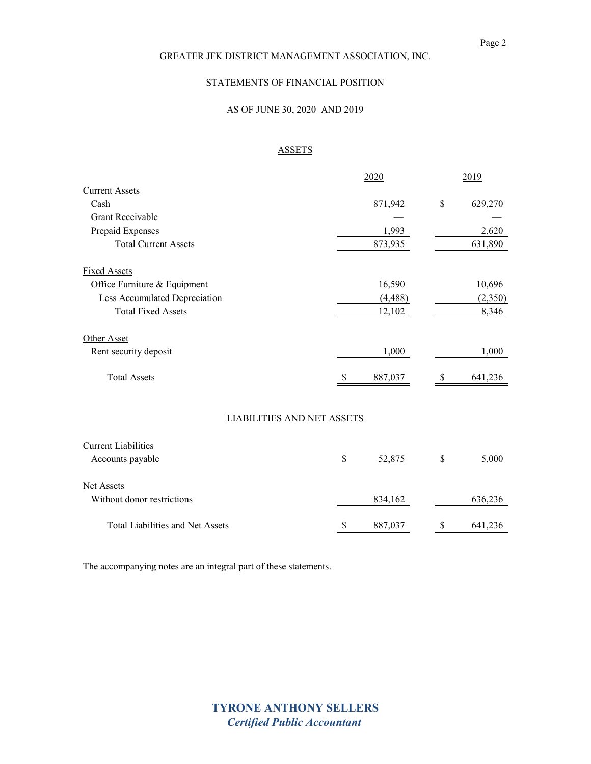### Page 2

## GREATER JFK DISTRICT MANAGEMENT ASSOCIATION, INC.

## STATEMENTS OF FINANCIAL POSITION

## AS OF JUNE 30, 2020 AND 2019

## ASSETS

|                                  |                                   | 2020     | 2019          |
|----------------------------------|-----------------------------------|----------|---------------|
| <b>Current Assets</b>            |                                   |          |               |
| Cash                             |                                   | 871,942  | \$<br>629,270 |
| <b>Grant Receivable</b>          |                                   |          |               |
| Prepaid Expenses                 |                                   | 1,993    | 2,620         |
| <b>Total Current Assets</b>      |                                   | 873,935  | 631,890       |
| <b>Fixed Assets</b>              |                                   |          |               |
| Office Furniture & Equipment     |                                   | 16,590   | 10,696        |
| Less Accumulated Depreciation    |                                   | (4, 488) | (2,350)       |
| <b>Total Fixed Assets</b>        |                                   | 12,102   | 8,346         |
| Other Asset                      |                                   |          |               |
| Rent security deposit            |                                   | 1,000    | 1,000         |
| <b>Total Assets</b>              | \$                                | 887,037  | \$<br>641,236 |
|                                  | <b>LIABILITIES AND NET ASSETS</b> |          |               |
| <b>Current Liabilities</b>       |                                   |          |               |
| Accounts payable                 | \$                                | 52,875   | \$<br>5,000   |
| Net Assets                       |                                   |          |               |
| Without donor restrictions       |                                   | 834,162  | 636,236       |
| Total Liabilities and Net Assets | \$                                | 887,037  | \$<br>641,236 |

The accompanying notes are an integral part of these statements.

**TYRONE ANTHONY SELLERS** *Certified Public Accountant*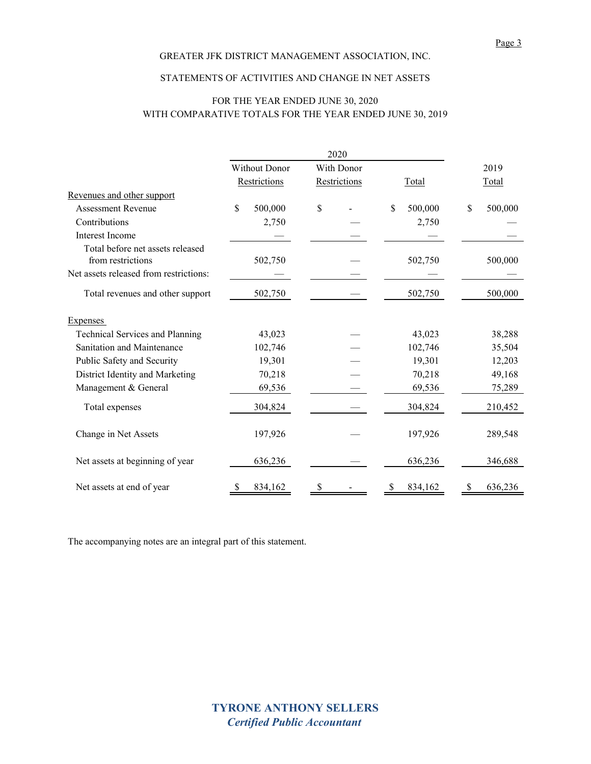## STATEMENTS OF ACTIVITIES AND CHANGE IN NET ASSETS

# FOR THE YEAR ENDED JUNE 30, 2020 WITH COMPARATIVE TOTALS FOR THE YEAR ENDED JUNE 30, 2019

|                                                       | 2020 |               |            |              |    |         |               |
|-------------------------------------------------------|------|---------------|------------|--------------|----|---------|---------------|
|                                                       |      | Without Donor | With Donor |              |    |         | 2019          |
|                                                       |      | Restrictions  |            | Restrictions |    | Total   | Total         |
| Revenues and other support                            |      |               |            |              |    |         |               |
| <b>Assessment Revenue</b>                             | \$   | 500,000       | \$         |              | \$ | 500,000 | \$<br>500,000 |
| Contributions                                         |      | 2,750         |            |              |    | 2,750   |               |
| Interest Income                                       |      |               |            |              |    |         |               |
| Total before net assets released<br>from restrictions |      | 502,750       |            |              |    | 502,750 | 500,000       |
| Net assets released from restrictions:                |      |               |            |              |    |         |               |
| Total revenues and other support                      |      | 502,750       |            |              |    | 502,750 | 500,000       |
| Expenses                                              |      |               |            |              |    |         |               |
| <b>Technical Services and Planning</b>                |      | 43,023        |            |              |    | 43,023  | 38,288        |
| Sanitation and Maintenance                            |      | 102,746       |            |              |    | 102,746 | 35,504        |
| Public Safety and Security                            |      | 19,301        |            |              |    | 19,301  | 12,203        |
| District Identity and Marketing                       |      | 70,218        |            |              |    | 70,218  | 49,168        |
| Management & General                                  |      | 69,536        |            |              |    | 69,536  | 75,289        |
| Total expenses                                        |      | 304,824       |            |              |    | 304,824 | 210,452       |
| Change in Net Assets                                  |      | 197,926       |            |              |    | 197,926 | 289,548       |
| Net assets at beginning of year                       |      | 636,236       |            |              |    | 636,236 | 346,688       |
| Net assets at end of year                             |      | 834,162       |            |              |    | 834,162 | 636,236       |

The accompanying notes are an integral part of this statement.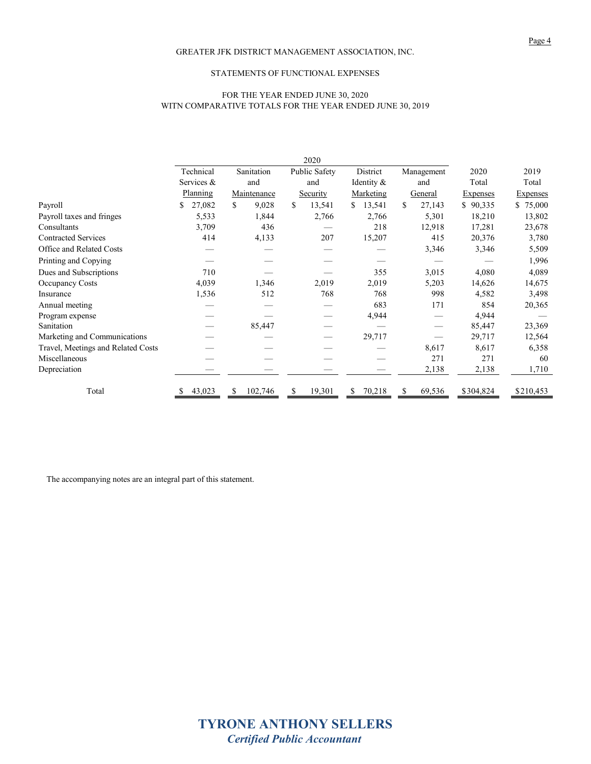### STATEMENTS OF FUNCTIONAL EXPENSES

## FOR THE YEAR ENDED JUNE 30, 2020 WITN COMPARATIVE TOTALS FOR THE YEAR ENDED JUNE 30, 2019

|                                    |            |              | 2020          |             |               |                 |                 |
|------------------------------------|------------|--------------|---------------|-------------|---------------|-----------------|-----------------|
|                                    | Technical  | Sanitation   | Public Safety | District    | Management    | 2020            | 2019            |
|                                    | Services & | and          | and           | Identity &  | and           | Total           | Total           |
|                                    | Planning   | Maintenance  | Security      | Marketing   | General       | <b>Expenses</b> | <b>Expenses</b> |
| Payroll                            | 27,082     | \$<br>9,028  | S<br>13,541   | S<br>13,541 | \$.<br>27,143 | \$90,335        | 75,000<br>\$    |
| Payroll taxes and fringes          | 5,533      | 1,844        | 2,766         | 2,766       | 5,301         | 18,210          | 13,802          |
| Consultants                        | 3,709      | 436          |               | 218         | 12,918        | 17,281          | 23,678          |
| <b>Contracted Services</b>         | 414        | 4,133        | 207           | 15,207      | 415           | 20,376          | 3,780           |
| Office and Related Costs           |            |              |               |             | 3,346         | 3,346           | 5,509           |
| Printing and Copying               |            |              |               |             |               |                 | 1,996           |
| Dues and Subscriptions             | 710        |              |               | 355         | 3,015         | 4,080           | 4,089           |
| Occupancy Costs                    | 4,039      | 1,346        | 2,019         | 2,019       | 5,203         | 14,626          | 14,675          |
| Insurance                          | 1,536      | 512          | 768           | 768         | 998           | 4,582           | 3,498           |
| Annual meeting                     |            |              |               | 683         | 171           | 854             | 20,365          |
| Program expense                    |            |              |               | 4,944       |               | 4,944           |                 |
| Sanitation                         |            | 85,447       |               |             |               | 85,447          | 23,369          |
| Marketing and Communications       |            |              |               | 29,717      |               | 29,717          | 12,564          |
| Travel, Meetings and Related Costs |            |              |               |             | 8,617         | 8,617           | 6,358           |
| Miscellaneous                      |            |              |               |             | 271           | 271             | 60              |
| Depreciation                       |            |              |               |             | 2,138         | 2,138           | 1,710           |
| Total                              | 43,023     | 102,746<br>S | 19,301        | 70,218      | 69,536        | \$304,824       | \$210,453       |

The accompanying notes are an integral part of this statement.

**TYRONE ANTHONY SELLERS** *Certified Public Accountant*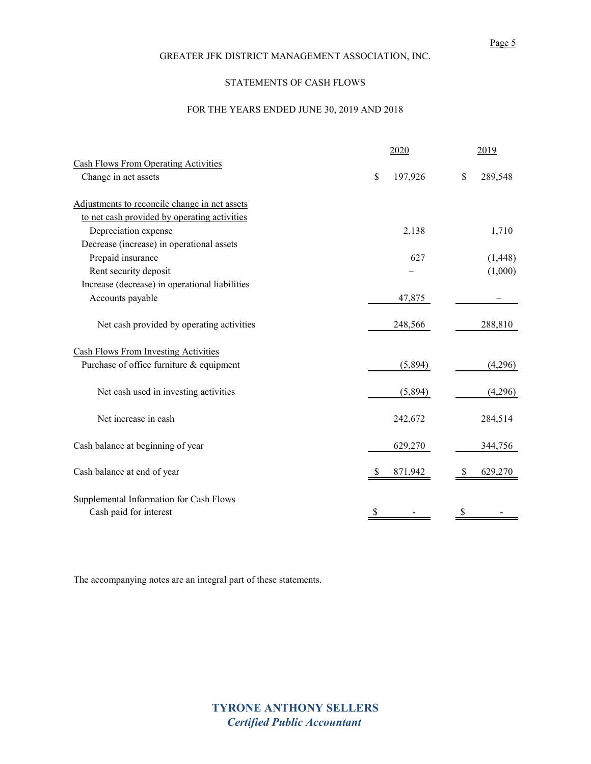## STATEMENTS OF CASH FLOWS

## FOR THE YEARS ENDED JUNE 30, 2019 AND 2018

|                                                                   | 2020          | 2019          |
|-------------------------------------------------------------------|---------------|---------------|
| Cash Flows From Operating Activities<br>Change in net assets      | \$<br>197,926 | \$<br>289,548 |
| Adjustments to reconcile change in net assets                     |               |               |
| to net cash provided by operating activities                      |               |               |
| Depreciation expense                                              | 2,138         | 1,710         |
| Decrease (increase) in operational assets                         |               |               |
| Prepaid insurance                                                 | 627           | (1, 448)      |
| Rent security deposit                                             |               | (1,000)       |
| Increase (decrease) in operational liabilities                    |               |               |
| Accounts payable                                                  | 47,875        |               |
| Net cash provided by operating activities                         | 248,566       | 288,810       |
| <b>Cash Flows From Investing Activities</b>                       |               |               |
| Purchase of office furniture & equipment                          | (5,894)       | (4,296)       |
| Net cash used in investing activities                             | (5,894)       | (4,296)       |
| Net increase in cash                                              | 242,672       | 284,514       |
| Cash balance at beginning of year                                 | 629,270       | 344,756       |
| Cash balance at end of year                                       | 871,942<br>-S | 629,270<br>S  |
| Supplemental Information for Cash Flows<br>Cash paid for interest | \$            | \$            |

The accompanying notes are an integral part of these statements.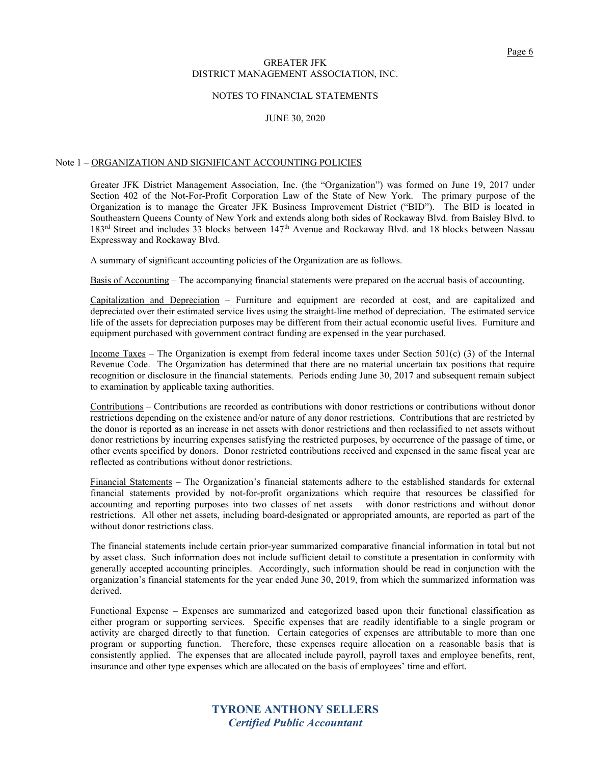## NOTES TO FINANCIAL STATEMENTS

### JUNE 30, 2020

#### Note 1 – ORGANIZATION AND SIGNIFICANT ACCOUNTING POLICIES

Greater JFK District Management Association, Inc. (the "Organization") was formed on June 19, 2017 under Section 402 of the Not-For-Profit Corporation Law of the State of New York. The primary purpose of the Organization is to manage the Greater JFK Business Improvement District ("BID"). The BID is located in Southeastern Queens County of New York and extends along both sides of Rockaway Blvd. from Baisley Blvd. to 183rd Street and includes 33 blocks between 147th Avenue and Rockaway Blvd. and 18 blocks between Nassau Expressway and Rockaway Blvd.

A summary of significant accounting policies of the Organization are as follows.

Basis of Accounting – The accompanying financial statements were prepared on the accrual basis of accounting.

Capitalization and Depreciation – Furniture and equipment are recorded at cost, and are capitalized and depreciated over their estimated service lives using the straight-line method of depreciation. The estimated service life of the assets for depreciation purposes may be different from their actual economic useful lives. Furniture and equipment purchased with government contract funding are expensed in the year purchased.

Income Taxes – The Organization is exempt from federal income taxes under Section  $501(c)$  (3) of the Internal Revenue Code. The Organization has determined that there are no material uncertain tax positions that require recognition or disclosure in the financial statements. Periods ending June 30, 2017 and subsequent remain subject to examination by applicable taxing authorities.

Contributions – Contributions are recorded as contributions with donor restrictions or contributions without donor restrictions depending on the existence and/or nature of any donor restrictions. Contributions that are restricted by the donor is reported as an increase in net assets with donor restrictions and then reclassified to net assets without donor restrictions by incurring expenses satisfying the restricted purposes, by occurrence of the passage of time, or other events specified by donors. Donor restricted contributions received and expensed in the same fiscal year are reflected as contributions without donor restrictions.

Financial Statements – The Organization's financial statements adhere to the established standards for external financial statements provided by not-for-profit organizations which require that resources be classified for accounting and reporting purposes into two classes of net assets – with donor restrictions and without donor restrictions. All other net assets, including board-designated or appropriated amounts, are reported as part of the without donor restrictions class.

The financial statements include certain prior-year summarized comparative financial information in total but not by asset class. Such information does not include sufficient detail to constitute a presentation in conformity with generally accepted accounting principles. Accordingly, such information should be read in conjunction with the organization's financial statements for the year ended June 30, 2019, from which the summarized information was derived.

Functional Expense – Expenses are summarized and categorized based upon their functional classification as either program or supporting services. Specific expenses that are readily identifiable to a single program or activity are charged directly to that function. Certain categories of expenses are attributable to more than one program or supporting function. Therefore, these expenses require allocation on a reasonable basis that is consistently applied. The expenses that are allocated include payroll, payroll taxes and employee benefits, rent, insurance and other type expenses which are allocated on the basis of employees' time and effort.

# **TYRONE ANTHONY SELLERS**  *Certified Public Accountant*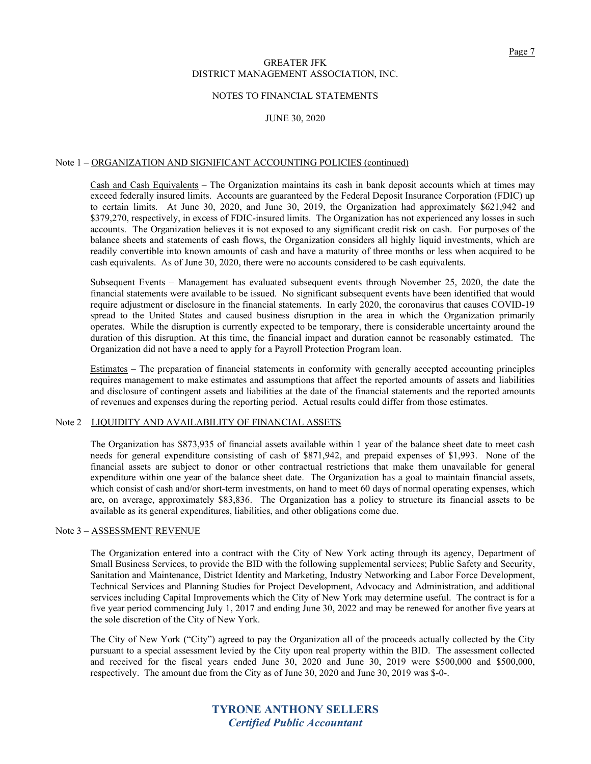## NOTES TO FINANCIAL STATEMENTS

## JUNE 30, 2020

### Note 1 – ORGANIZATION AND SIGNIFICANT ACCOUNTING POLICIES (continued)

Cash and Cash Equivalents – The Organization maintains its cash in bank deposit accounts which at times may exceed federally insured limits. Accounts are guaranteed by the Federal Deposit Insurance Corporation (FDIC) up to certain limits. At June 30, 2020, and June 30, 2019, the Organization had approximately \$621,942 and \$379,270, respectively, in excess of FDIC-insured limits. The Organization has not experienced any losses in such accounts. The Organization believes it is not exposed to any significant credit risk on cash. For purposes of the balance sheets and statements of cash flows, the Organization considers all highly liquid investments, which are readily convertible into known amounts of cash and have a maturity of three months or less when acquired to be cash equivalents. As of June 30, 2020, there were no accounts considered to be cash equivalents.

Subsequent Events – Management has evaluated subsequent events through November 25, 2020, the date the financial statements were available to be issued. No significant subsequent events have been identified that would require adjustment or disclosure in the financial statements. In early 2020, the coronavirus that causes COVID-19 spread to the United States and caused business disruption in the area in which the Organization primarily operates. While the disruption is currently expected to be temporary, there is considerable uncertainty around the duration of this disruption. At this time, the financial impact and duration cannot be reasonably estimated. The Organization did not have a need to apply for a Payroll Protection Program loan.

Estimates – The preparation of financial statements in conformity with generally accepted accounting principles requires management to make estimates and assumptions that affect the reported amounts of assets and liabilities and disclosure of contingent assets and liabilities at the date of the financial statements and the reported amounts of revenues and expenses during the reporting period. Actual results could differ from those estimates.

## Note 2 – LIQUIDITY AND AVAILABILITY OF FINANCIAL ASSETS

The Organization has \$873,935 of financial assets available within 1 year of the balance sheet date to meet cash needs for general expenditure consisting of cash of \$871,942, and prepaid expenses of \$1,993. None of the financial assets are subject to donor or other contractual restrictions that make them unavailable for general expenditure within one year of the balance sheet date. The Organization has a goal to maintain financial assets, which consist of cash and/or short-term investments, on hand to meet 60 days of normal operating expenses, which are, on average, approximately \$83,836. The Organization has a policy to structure its financial assets to be available as its general expenditures, liabilities, and other obligations come due.

## Note 3 – ASSESSMENT REVENUE

The Organization entered into a contract with the City of New York acting through its agency, Department of Small Business Services, to provide the BID with the following supplemental services; Public Safety and Security, Sanitation and Maintenance, District Identity and Marketing, Industry Networking and Labor Force Development, Technical Services and Planning Studies for Project Development, Advocacy and Administration, and additional services including Capital Improvements which the City of New York may determine useful. The contract is for a five year period commencing July 1, 2017 and ending June 30, 2022 and may be renewed for another five years at the sole discretion of the City of New York.

The City of New York ("City") agreed to pay the Organization all of the proceeds actually collected by the City pursuant to a special assessment levied by the City upon real property within the BID. The assessment collected and received for the fiscal years ended June 30, 2020 and June 30, 2019 were \$500,000 and \$500,000, respectively. The amount due from the City as of June 30, 2020 and June 30, 2019 was \$-0-.

# **TYRONE ANTHONY SELLERS**  *Certified Public Accountant*